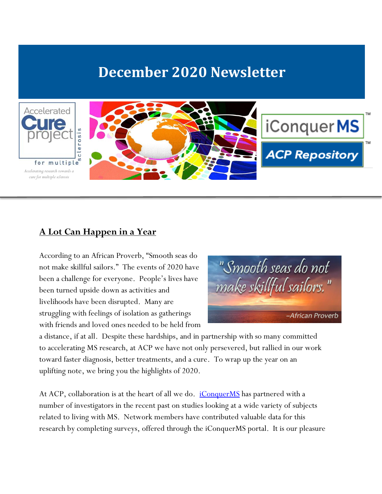# **December 2020 Newsletter**



#### **A Lot Can Happen in a Year**

According to an African Proverb, "Smooth seas do not make skillful sailors." The events of 2020 have been a challenge for everyone. People's lives have been turned upside down as activities and livelihoods have been disrupted. Many are struggling with feelings of isolation as gatherings with friends and loved ones needed to be held from



a distance, if at all. Despite these hardships, and in partnership with so many committed to accelerating MS research, at ACP we have not only persevered, but rallied in our work toward faster diagnosis, better treatments, and a cure. To wrap up the year on an uplifting note, we bring you the highlights of 2020.

At ACP, collaboration is at the heart of all we do. *[iConquerMS](https://www.iconquerms.org/)* has partnered with a number of investigators in the recent past on studies looking at a wide variety of subjects related to living with MS. Network members have contributed valuable data for this research by completing surveys, offered through the iConquerMS portal. It is our pleasure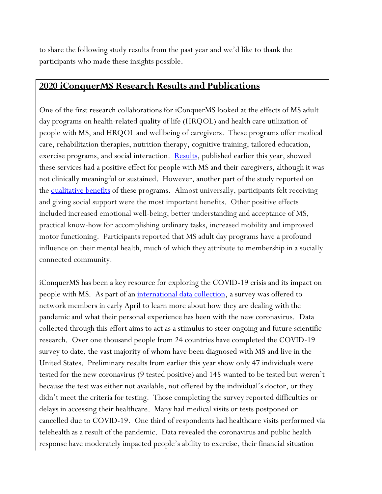to share the following study results from the past year and we'd like to thank the participants who made these insights possible.

#### **2020 iConquerMS Research Results and Publications**

One of the first research collaborations for iConquerMS looked at the effects of MS adult day programs on health-related quality of life (HRQOL) and health care utilization of people with MS, and HRQOL and wellbeing of caregivers. These programs offer medical care, rehabilitation therapies, nutrition therapy, cognitive training, tailored education, exercise programs, and social interaction. <u>Results</u>, published earlier this year, showed these services had a positive effect for people with MS and their caregivers, although it was not clinically meaningful or sustained. However, another part of the study reported on the [qualitative benefits](https://meridian.allenpress.com/ijmsc/article/22/5/201/436109/Benefits-of-Multiple-Sclerosis-Adult-Day-Program) of these programs. Almost universally, participants felt receiving and giving social support were the most important benefits. Other positive effects included increased emotional well-being, better understanding and acceptance of MS, practical know-how for accomplishing ordinary tasks, increased mobility and improved motor functioning. Participants reported that MS adult day programs have a profound influence on their mental health, much of which they attribute to membership in a socially connected community.

iConquerMS has been a key resource for exploring the COVID-19 crisis and its impact on people with MS. As part of an <u>international data collection</u>, a survey was offered to network members in early April to learn more about how they are dealing with the pandemic and what their personal experience has been with the new coronavirus. Data collected through this effort aims to act as a stimulus to steer ongoing and future scientific research. Over one thousand people from 24 countries have completed the COVID-19 survey to date, the vast majority of whom have been diagnosed with MS and live in the United States. Preliminary results from earlier this year show only 47 individuals were tested for the new coronavirus (9 tested positive) and 145 wanted to be tested but weren't because the test was either not available, not offered by the individual's doctor, or they didn't meet the criteria for testing. Those completing the survey reported difficulties or delays in accessing their healthcare. Many had medical visits or tests postponed or cancelled due to COVID-19. One third of respondents had healthcare visits performed via telehealth as a result of the pandemic. Data revealed the coronavirus and public health response have moderately impacted people's ability to exercise, their financial situation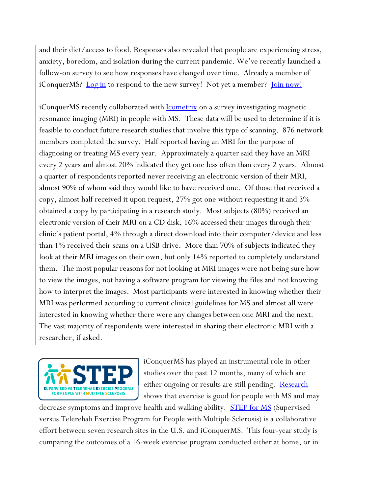and their diet/access to food. Responses also revealed that people are experiencing stress, anxiety, boredom, and isolation during the current pandemic. We've recently launched a follow-on survey to see how responses have changed over time. Already a member of iConquerMS? [Log in](https://www.iconquerms.org/patient-dashboard) to respond to the new survey! Not yet a member? [Join now!](https://www.iconquerms.org/user/register)

iConquerMS recently collaborated with [Icometrix](https://icometrix.com/) on a survey investigating magnetic resonance imaging (MRI) in people with MS. These data will be used to determine if it is feasible to conduct future research studies that involve this type of scanning. 876 network members completed the survey. Half reported having an MRI for the purpose of diagnosing or treating MS every year. Approximately a quarter said they have an MRI every 2 years and almost 20% indicated they get one less often than every 2 years. Almost a quarter of respondents reported never receiving an electronic version of their MRI, almost 90% of whom said they would like to have received one. Of those that received a copy, almost half received it upon request, 27% got one without requesting it and 3% obtained a copy by participating in a research study. Most subjects (80%) received an electronic version of their MRI on a CD disk, 16% accessed their images through their clinic's patient portal, 4% through a direct download into their computer/device and less than 1% received their scans on a USB-drive. More than 70% of subjects indicated they look at their MRI images on their own, but only 14% reported to completely understand them. The most popular reasons for not looking at MRI images were not being sure how to view the images, not having a software program for viewing the files and not knowing how to interpret the images. Most participants were interested in knowing whether their MRI was performed according to current clinical guidelines for MS and almost all were interested in knowing whether there were any changes between one MRI and the next. The vast majority of respondents were interested in sharing their electronic MRI with a researcher, if asked.



iConquerMS has played an instrumental role in other studies over the past 12 months, many of which are either ongoing or results are still pending. [Research](https://www.acceleratedcure.org/sites/default/files/images/Physical%20fitness%20and%20Multiple%20Sclerosis_template.pdf) shows that exercise is good for people with MS and may

decrease symptoms and improve health and walking ability. **[STEP for MS](https://www.iconquerms.org/welcome-step-ms)** (Supervised versus Telerehab Exercise Program for People with Multiple Sclerosis) is a collaborative effort between seven research sites in the U.S. and iConquerMS. This four-year study is comparing the outcomes of a 16-week exercise program conducted either at home, or in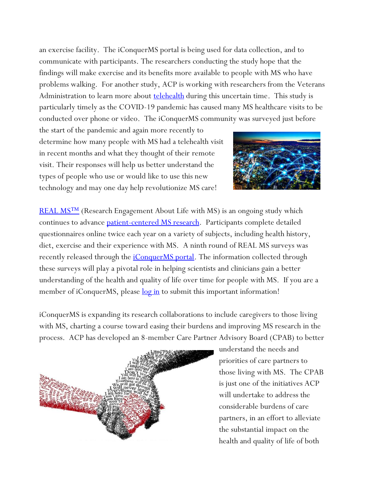an exercise facility. The iConquerMS portal is being used for data collection, and to communicate with participants. The researchers conducting the study hope that the findings will make exercise and its benefits more available to people with MS who have problems walking. For another study, ACP is working with researchers from the Veterans Administration to learn more about **<u>telehealth</u>** during this uncertain time. This study is particularly timely as the COVID-19 pandemic has caused many MS healthcare visits to be conducted over phone or video. The iConquerMS community was surveyed just before

the start of the pandemic and again more recently to determine how many people with MS had a telehealth visit in recent months and what they thought of their remote visit. Their responses will help us better understand the types of people who use or would like to use this new technology and may one day help revolutionize MS care!



REAL MS<sup>TM</sup> (Research Engagement About Life with MS) is an ongoing study which continues to advance [patient-centered MS research.](https://www.acceleratedcure.org/sites/default/files/images/HarnessingthePowerofthePatientPerspectivev2.pdf) Participants complete detailed questionnaires online twice each year on a variety of subjects, including health history, diet, exercise and their experience with MS. A ninth round of REAL MS surveys was recently released through the *iConquerMS portal*. The information collected through these surveys will play a pivotal role in helping scientists and clinicians gain a better understanding of the health and quality of life over time for people with MS. If you are a member of iConquerMS, please <u>[log in](https://www.iconquerms.org/patient-dashboard)</u> to submit this important information!

iConquerMS is expanding its research collaborations to include caregivers to those living with MS, charting a course toward easing their burdens and improving MS research in the process. ACP has developed an 8-member Care Partner Advisory Board (CPAB) to better



understand the needs and priorities of care partners to those living with MS. The CPAB is just one of the initiatives ACP will undertake to address the considerable burdens of care partners, in an effort to alleviate the substantial impact on the health and quality of life of both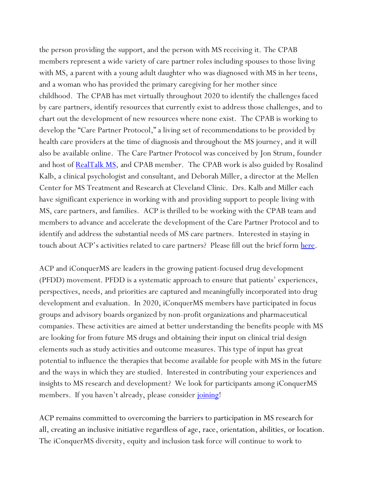the person providing the support, and the person with MS receiving it. The CPAB members represent a wide variety of care partner roles including spouses to those living with MS, a parent with a young adult daughter who was diagnosed with MS in her teens, and a woman who has provided the primary caregiving for her mother since childhood. The CPAB has met virtually throughout 2020 to identify the challenges faced by care partners, identify resources that currently exist to address those challenges, and to chart out the development of new resources where none exist. The CPAB is working to develop the "Care Partner Protocol," a living set of recommendations to be provided by health care providers at the time of diagnosis and throughout the MS journey, and it will also be available online. The Care Partner Protocol was conceived by Jon Strum, founder and host of **RealTalk MS**, and CPAB member. The CPAB work is also guided by Rosalind Kalb, a clinical psychologist and consultant, and Deborah Miller, a director at the Mellen Center for MS Treatment and Research at Cleveland Clinic. Drs. Kalb and Miller each have significant experience in working with and providing support to people living with MS, care partners, and families. ACP is thrilled to be working with the CPAB team and members to advance and accelerate the development of the Care Partner Protocol and to identify and address the substantial needs of MS care partners. Interested in staying in touch about ACP's activities related to care partners? Please fill out the brief form [here.](https://survey.alchemer.com/s3/6085536/Interest-in-Care-Partner-Projects)

ACP and iConquerMS are leaders in the growing patient-focused drug development (PFDD) movement. PFDD is a systematic approach to ensure that patients' experiences, perspectives, needs, and priorities are captured and meaningfully incorporated into drug development and evaluation. In 2020, iConquerMS members have participated in focus groups and advisory boards organized by non-profit organizations and pharmaceutical companies. These activities are aimed at better understanding the benefits people with MS are looking for from future MS drugs and obtaining their input on clinical trial design elements such as study activities and outcome measures. This type of input has great potential to influence the therapies that become available for people with MS in the future and the ways in which they are studied. Interested in contributing your experiences and insights to MS research and development? We look for participants among iConquerMS members. If you haven't already, please consider *[joining!](https://www.iconquerms.org/user/register)* 

ACP remains committed to overcoming the barriers to participation in MS research for all, creating an inclusive initiative regardless of age, race, orientation, abilities, or location. The iConquerMS diversity, equity and inclusion task force will continue to work to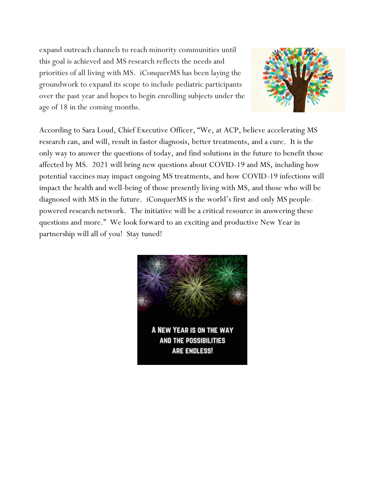expand outreach channels to reach minority communities until this goal is achieved and MS research reflects the needs and priorities of all living with MS. iConquerMS has been laying the groundwork to expand its scope to include pediatric participants over the past year and hopes to begin enrolling subjects under the age of 18 in the coming months.



According to Sara Loud, Chief Executive Officer, "We, at ACP, believe accelerating MS research can, and will, result in faster diagnosis, better treatments, and a cure. It is the only way to answer the questions of today, and find solutions in the future to benefit those affected by MS. 2021 will bring new questions about COVID-19 and MS, including how potential vaccines may impact ongoing MS treatments, and how COVID-19 infections will impact the health and well-being of those presently living with MS, and those who will be diagnosed with MS in the future. iConquerMS is the world's first and only MS peoplepowered research network. The initiative will be a critical resource in answering these questions and more." We look forward to an exciting and productive New Year in partnership will all of you! Stay tuned!

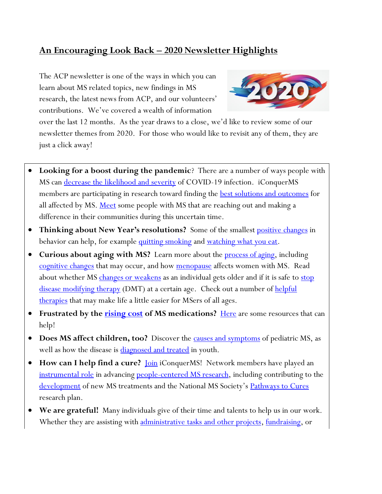### **An Encouraging Look Back – 2020 Newsletter Highlights**

The ACP newsletter is one of the ways in which you can learn about MS related topics, new findings in MS research, the latest news from ACP, and our volunteers' contributions. We've covered a wealth of information



over the last 12 months. As the year draws to a close, we'd like to review some of our newsletter themes from 2020. For those who would like to revisit any of them, they are just a click away!

- **Looking for a boost during the pandemic**? There are a number of ways people with MS can <u>decrease the likelihood and severity</u> of COVID-19 infection. iConquerMS members are participating in research toward finding the <u>best solutions and outcomes</u> for all affected by MS. <u>Meet</u> some people with MS that are reaching out and making a difference in their communities during this uncertain time.
- **Thinking about New Year's resolutions?** Some of the smallest [positive changes](https://www.acceleratedcure.org/sites/default/files/images/TheBestProjectYou%27llEverWorkOnIsYou9.pdf) in behavior can help, for example [quitting smoking](https://www.acceleratedcure.org/sites/default/files/images/Whosaysbeingaquitterisabadthing.pdf) and [watching what you eat.](https://www.acceleratedcure.org/sites/default/files/images/FoodAllergiesandFlares.pdf)
- **Curious about aging with MS?** Learn more about the [process of aging,](https://www.acceleratedcure.org/sites/default/files/images/AgingGracefullywithMS.pdf) including [cognitive changes](https://www.acceleratedcure.org/sites/default/files/images/TheSeniorMomentsofMSv2.pdf) that may occur, and how [menopause](https://www.acceleratedcure.org/sites/default/files/images/IsMenopauseaTurningPointforWomenwithMS.pdf) affects women with MS. Read about whether MS [changes or weakens](https://www.acceleratedcure.org/sites/default/files/images/DoesMSWeakenwithAge.pdf) as an individual gets older and if it is safe to stop [disease modifying therapy](https://www.acceleratedcure.org/sites/default/files/images/TooOldforMSTreatment.pdf) (DMT) at a certain age. Check out a number of helpful [therapies](https://www.acceleratedcure.org/sites/default/files/images/HelpfulTherapiesforMSersofAllAges.pdf) that may make life a little easier for MSers of all ages.
- **•** Frustrated by the **rising cost** of MS medications? [Here](https://www.acceleratedcure.org/sites/default/files/images/FinancialHelpforMS%20Medicationsv2.pdf) are some resources that can help!
- **Does MS affect children, too?** Discover the **causes and symptoms** of pediatric MS, as well as how the disease is **diagnosed and treated** in youth.
- **How can I help find a cure?** <u>[Join](https://www.iconquerms.org/user/register)</u> iConquerMS! Network members have played an [instrumental role](https://www.acceleratedcure.org/sites/default/files/images/TransformingMSResearchandImprovingMSCarev2.pdf) in advancing [people-centered MS research,](https://www.acceleratedcure.org/sites/default/files/images/HarnessingthePowerofthePatientPerspectivev2.pdf) including contributing to the [development](https://www.acceleratedcure.org/sites/default/files/images/PatientsAreTheExpertsv2.pdf) of new MS treatments and the National MS Society's [Pathways to Cures](https://www.acceleratedcure.org/sites/default/files/images/FindingthePathwaystoaCure.pdf) research plan.
- **We are grateful!** Many individuals give of their time and talents to help us in our work. Whether they are assisting with [administrative tasks and other projects,](https://www.acceleratedcure.org/sites/default/files/images/Volunteersdon%27tnecessarilyhavethetime%2Ctheyjusthavetheheartv2.pdf) [fundraising,](https://www.acceleratedcure.org/sites/default/files/images/FundraisersaretheSparksthatIgniteChangeforICYMI.pdf) or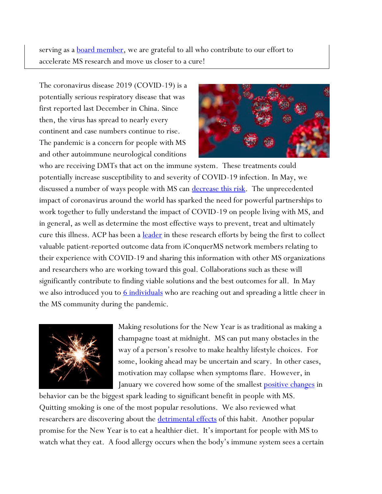serving as a **board member**, we are grateful to all who contribute to our effort to accelerate MS research and move us closer to a cure!

The coronavirus disease 2019 (COVID-19) is a potentially serious respiratory disease that was first reported last December in China. Since then, the virus has spread to nearly every continent and case numbers continue to rise. The pandemic is a concern for people with MS and other autoimmune neurological conditions



who are receiving DMTs that act on the immune system. These treatments could potentially increase susceptibility to and severity of COVID-19 infection. In May, we discussed a number of ways people with MS can [decrease this risk.](https://www.acceleratedcure.org/sites/default/files/images/LivingwithMSandCOVID-19_v2.pdf) The unprecedented impact of coronavirus around the world has sparked the need for powerful partnerships to work together to fully understand the impact of COVID-19 on people living with MS, and in general, as well as determine the most effective ways to prevent, treat and ultimately cure this illness. ACP has been a **leader** in these research efforts by being the first to collect valuable patient-reported outcome data from iConquerMS network members relating to their experience with COVID-19 and sharing this information with other MS organizations and researchers who are working toward this goal. Collaborations such as these will significantly contribute to finding viable solutions and the best outcomes for all. In May we also introduced you to **6** individuals who are reaching out and spreading a little cheer in the MS community during the pandemic.



Making resolutions for the New Year is as traditional as making a champagne toast at midnight. MS can put many obstacles in the way of a person's resolve to make healthy lifestyle choices. For some, looking ahead may be uncertain and scary. In other cases, motivation may collapse when symptoms flare. However, in January we covered how some of the smallest **positive changes** in

behavior can be the biggest spark leading to significant benefit in people with MS. Quitting smoking is one of the most popular resolutions. We also reviewed what researchers are discovering about the **detrimental effects** of this habit. Another popular promise for the New Year is to eat a healthier diet. It's important for people with MS to watch what they eat. A food allergy occurs when the body's immune system sees a certain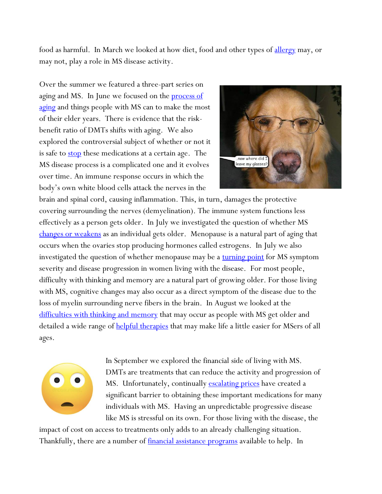food as harmful. In March we looked at how diet, food and other types of [allergy](https://www.acceleratedcure.org/sites/default/files/images/FoodAllergiesandFlares.pdf) may, or may not, play a role in MS disease activity.

Over the summer we featured a three-part series on aging and MS. In June we focused on the **process of** [aging](https://www.acceleratedcure.org/sites/default/files/images/AgingGracefullywithMS.pdf) and things people with MS can to make the most of their elder years. There is evidence that the riskbenefit ratio of DMTs shifts with aging. We also explored the controversial subject of whether or not it is safe to **stop** these medications at a certain age. The MS disease process is a complicated one and it evolves over time. An immune response occurs in which the body's own white blood cells attack the nerves in the



brain and spinal cord, causing inflammation. This, in turn, damages the protective covering surrounding the nerves (demyelination). The immune system functions less effectively as a person gets older. In July we investigated the question of whether MS [changes or weakens](https://www.acceleratedcure.org/sites/default/files/images/DoesMSWeakenwithAge.pdf) as an individual gets older. Menopause is a natural part of aging that occurs when the ovaries stop producing hormones called estrogens. In July we also investigated the question of whether menopause may be a [turning point](https://www.acceleratedcure.org/sites/default/files/images/IsMenopauseaTurningPointforWomenwithMS.pdf) for MS symptom severity and disease progression in women living with the disease. For most people, difficulty with thinking and memory are a natural part of growing older. For those living with MS, cognitive changes may also occur as a direct symptom of the disease due to the loss of myelin surrounding nerve fibers in the brain. In August we looked at the <u>[difficulties with thinking and memory](https://www.acceleratedcure.org/sites/default/files/images/TheSeniorMomentsofMSv2.pdf)</u> that may occur as people with MS get older and detailed a wide range of [helpful therapies](https://www.acceleratedcure.org/sites/default/files/images/HelpfulTherapiesforMSersofAllAges.pdf) that may make life a little easier for MSers of all ages.



In September we explored the financial side of living with MS. DMTs are treatments that can reduce the activity and progression of MS. Unfortunately, continually **escalating prices** have created a significant barrier to obtaining these important medications for many individuals with MS. Having an unpredictable progressive disease like MS is stressful on its own. For those living with the disease, the

impact of cost on access to treatments only adds to an already challenging situation. Thankfully, there are a number of *financial assistance programs* available to help. In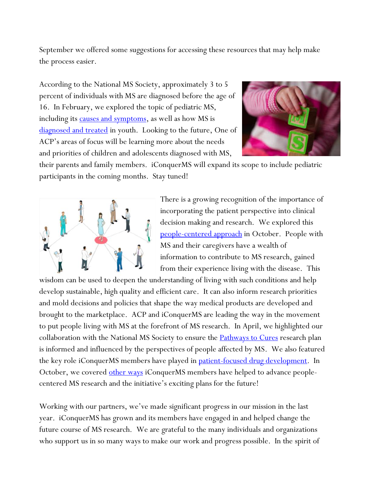September we offered some suggestions for accessing these resources that may help make the process easier.

According to the National MS Society, approximately 3 to 5 percent of individuals with MS are diagnosed before the age of 16. In February, we explored the topic of pediatric MS, including its **causes and symptoms**, as well as how MS is [diagnosed and treated](https://www.acceleratedcure.org/sites/default/files/images/HowisMSTreatedinChildrenv2.pdf) in youth. Looking to the future, One of ACP's areas of focus will be learning more about the needs and priorities of children and adolescents diagnosed with MS,



their parents and family members. iConquerMS will expand its scope to include pediatric participants in the coming months. Stay tuned!



There is a growing recognition of the importance of incorporating the patient perspective into clinical decision making and research. We explored this [people-centered approach](https://www.acceleratedcure.org/sites/default/files/images/HarnessingthePowerofthePatientPerspectivev2.pdf) in October. People with MS and their caregivers have a wealth of information to contribute to MS research, gained from their experience living with the disease. This

wisdom can be used to deepen the understanding of living with such conditions and help develop sustainable, high quality and efficient care. It can also inform research priorities and mold decisions and policies that shape the way medical products are developed and brought to the marketplace. ACP and iConquerMS are leading the way in the movement to put people living with MS at the forefront of MS research. In April, we highlighted our collaboration with the National MS Society to ensure the **Pathways to Cures** research plan is informed and influenced by the perspectives of people affected by MS. We also featured the key role iConquerMS members have played in <u>patient-focused drug development</u>. In October, we covered <u>other ways</u> iConquerMS members have helped to advance peoplecentered MS research and the initiative's exciting plans for the future!

Working with our partners, we've made significant progress in our mission in the last year. iConquerMS has grown and its members have engaged in and helped change the future course of MS research. We are grateful to the many individuals and organizations who support us in so many ways to make our work and progress possible. In the spirit of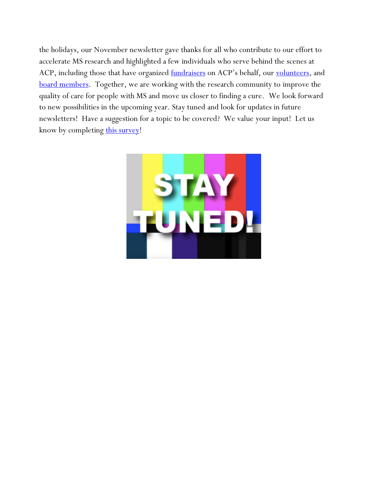the holidays, our November newsletter gave thanks for all who contribute to our effort to accelerate MS research and highlighted a few individuals who serve behind the scenes at ACP, including those that have organized [fundraisers](https://www.acceleratedcure.org/sites/default/files/images/FundraisersaretheSparksthatIgniteChange.pdf) on ACP's behalf, our [volunteers,](https://www.acceleratedcure.org/sites/default/files/images/Volunteersdon%27tnecessarilyhavethetime%2Ctheyjusthavetheheartv2.pdf) and [board members.](https://www.acceleratedcure.org/sites/default/files/images/ThankyoufortheTeamworkv2.pdf) Together, we are working with the research community to improve the quality of care for people with MS and move us closer to finding a cure. We look forward to new possibilities in the upcoming year. Stay tuned and look for updates in future newsletters! Have a suggestion for a topic to be covered? We value your input! Let us know by completing [this survey!](http://survey.alchemer.com/s3/4201275/Newsletter-Feedback)

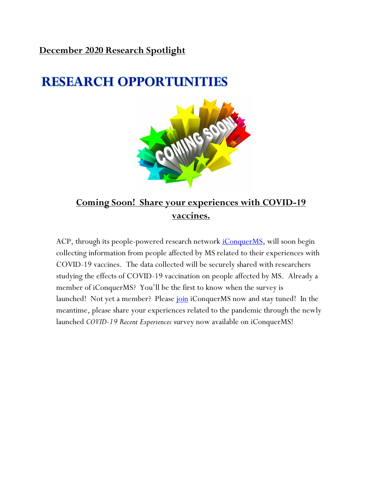#### **December 2020 Research Spotlight**

# **RESEARCH OPPORTUNITIES**



## **Coming Soon! Share your experiences with COVID-19 vaccines.**

ACP, through its people-powered research network *iConquerMS*, will soon begin collecting information from people affected by MS related to their experiences with COVID-19 vaccines. The data collected will be securely shared with researchers studying the effects of COVID-19 vaccination on people affected by MS. Already a member of iConquerMS? You'll be the first to know when the survey is launched! Not yet a member? Please [join](https://www.iconquerms.org/user/register) iConquerMS now and stay tuned! In the meantime, please share your experiences related to the pandemic through the newly launched *COVID-19 Recent Experiences* survey now available on iConquerMS!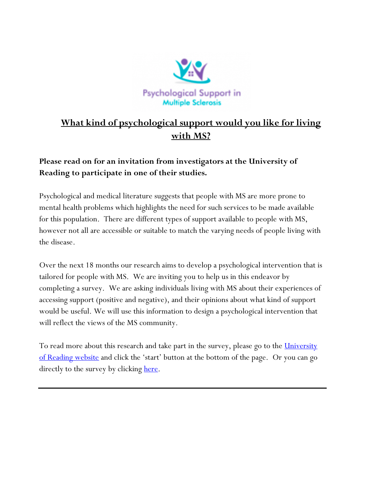

## **What kind of psychological support would you like for living with MS?**

### **Please read on for an invitation from investigators at the University of Reading to participate in one of their studies.**

Psychological and medical literature suggests that people with MS are more prone to mental health problems which highlights the need for such services to be made available for this population. There are different types of support available to people with MS, however not all are accessible or suitable to match the varying needs of people living with the disease.

Over the next 18 months our research aims to develop a psychological intervention that is tailored for people with MS. We are inviting you to help us in this endeavor by completing a survey. We are asking individuals living with MS about their experiences of accessing support (positive and negative), and their opinions about what kind of support would be useful. We will use this information to design a psychological intervention that will reflect the views of the MS community.

To read more about this research and take part in the survey, please go to the *University* [of Reading website](https://research.reading.ac.uk/neurodegenerative-diseases/multiple-sclerosis/) and click the 'start' button at the bottom of the page. Or you can go directly to the survey by clicking <u>here</u>.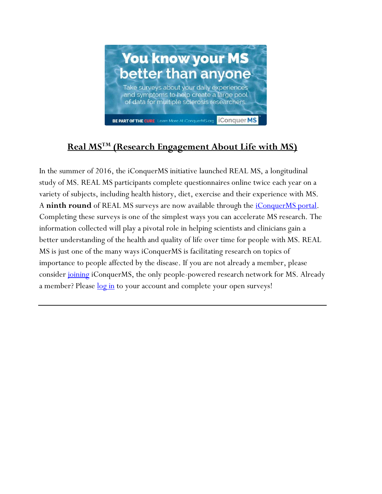

## **Real MSTM (Research Engagement About Life with MS)**

In the summer of 2016, the iConquerMS initiative launched REAL MS, a longitudinal study of MS. REAL MS participants complete questionnaires online twice each year on a variety of subjects, including health history, diet, exercise and their experience with MS. A **ninth round** of REAL MS surveys are now available through the *iConquerMS portal*. Completing these surveys is one of the simplest ways you can accelerate MS research. The information collected will play a pivotal role in helping scientists and clinicians gain a better understanding of the health and quality of life over time for people with MS. REAL MS is just one of the many ways iConquerMS is facilitating research on topics of importance to people affected by the disease. If you are not already a member, please consider <u>joining</u> iConquerMS, the only people-powered research network for MS. Already a member? Please <u>log in</u> to your account and complete your open surveys!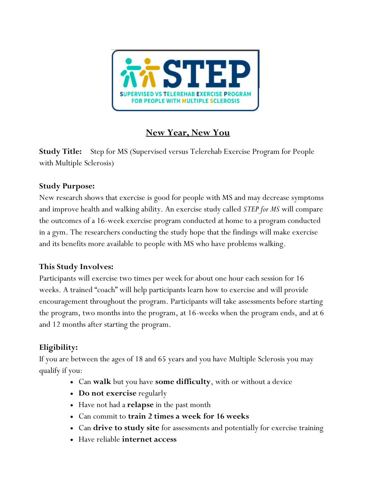

## **New Year, New You**

**Study Title:** Step for MS (Supervised versus Telerehab Exercise Program for People with Multiple Sclerosis)

#### **Study Purpose:**

New research shows that exercise is good for people with MS and may decrease symptoms and improve health and walking ability. An exercise study called *STEP for MS* will compare the outcomes of a 16-week exercise program conducted at home to a program conducted in a gym. The researchers conducting the study hope that the findings will make exercise and its benefits more available to people with MS who have problems walking.

#### **This Study Involves:**

Participants will exercise two times per week for about one hour each session for 16 weeks. A trained "coach" will help participants learn how to exercise and will provide encouragement throughout the program. Participants will take assessments before starting the program, two months into the program, at 16-weeks when the program ends, and at 6 and 12 months after starting the program.

## **Eligibility:**

If you are between the ages of 18 and 65 years and you have Multiple Sclerosis you may qualify if you:

- Can **walk** but you have **some difficulty**, with or without a device
- **Do not exercise** regularly
- Have not had a **relapse** in the past month
- Can commit to **train 2 times a week for 16 weeks**
- Can **drive to study site** for assessments and potentially for exercise training
- Have reliable **internet access**